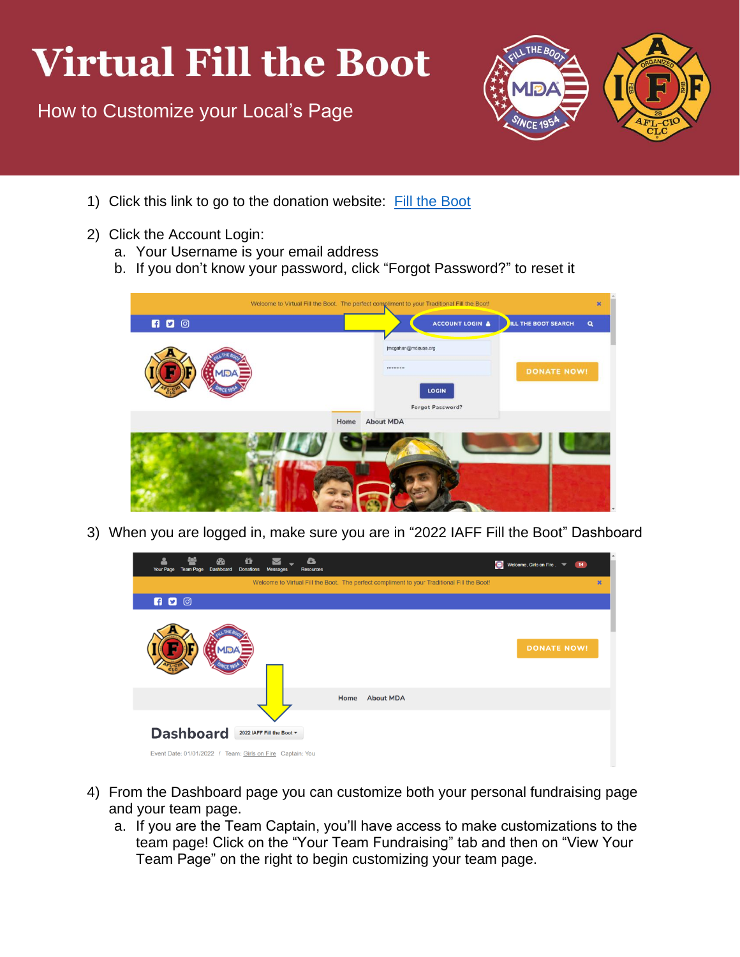## **Virtual Fill the Boot**

How to Customize your Local's Page



- 1) Click this link to go to the donation website: [Fill the Boot](https://filltheboot.donordrive.com/index.cfm?fuseaction=donorDrive.event&eventID=525)
- 2) Click the Account Login:
	- a. Your Username is your email address
	- b. If you don't know your password, click "Forgot Password?" to reset it



3) When you are logged in, make sure you are in "2022 IAFF Fill the Boot" Dashboard



- 4) From the Dashboard page you can customize both your personal fundraising page and your team page.
	- a. If you are the Team Captain, you'll have access to make customizations to the team page! Click on the "Your Team Fundraising" tab and then on "View Your Team Page" on the right to begin customizing your team page.